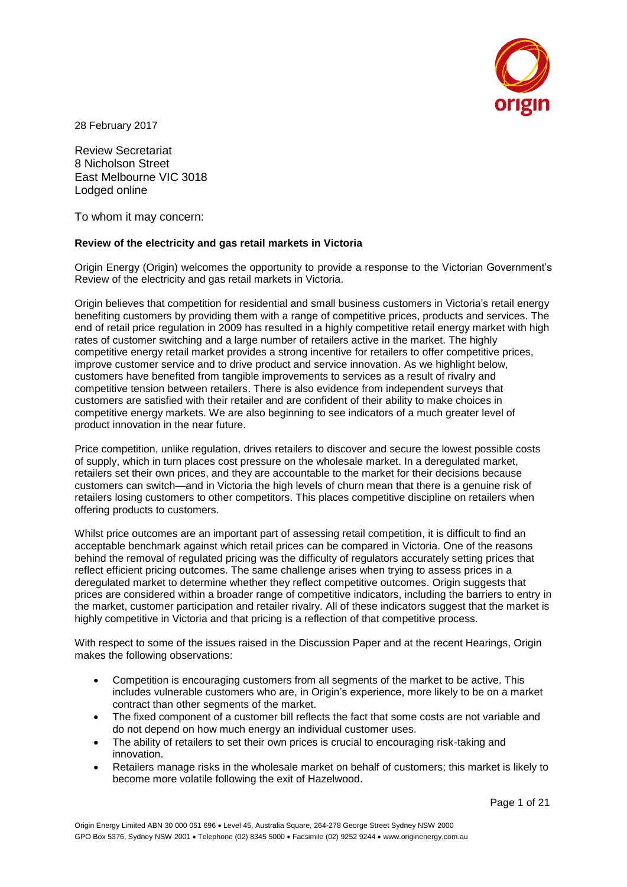

28 February 2017

Review Secretariat 8 Nicholson Street East Melbourne VIC 3018 Lodged online

To whom it may concern:

### **Review of the electricity and gas retail markets in Victoria**

Origin Energy (Origin) welcomes the opportunity to provide a response to the Victorian Government's Review of the electricity and gas retail markets in Victoria.

Origin believes that competition for residential and small business customers in Victoria's retail energy benefiting customers by providing them with a range of competitive prices, products and services. The end of retail price regulation in 2009 has resulted in a highly competitive retail energy market with high rates of customer switching and a large number of retailers active in the market. The highly competitive energy retail market provides a strong incentive for retailers to offer competitive prices, improve customer service and to drive product and service innovation. As we highlight below, customers have benefited from tangible improvements to services as a result of rivalry and competitive tension between retailers. There is also evidence from independent surveys that customers are satisfied with their retailer and are confident of their ability to make choices in competitive energy markets. We are also beginning to see indicators of a much greater level of product innovation in the near future.

Price competition, unlike regulation, drives retailers to discover and secure the lowest possible costs of supply, which in turn places cost pressure on the wholesale market. In a deregulated market, retailers set their own prices, and they are accountable to the market for their decisions because customers can switch—and in Victoria the high levels of churn mean that there is a genuine risk of retailers losing customers to other competitors. This places competitive discipline on retailers when offering products to customers.

Whilst price outcomes are an important part of assessing retail competition, it is difficult to find an acceptable benchmark against which retail prices can be compared in Victoria. One of the reasons behind the removal of regulated pricing was the difficulty of regulators accurately setting prices that reflect efficient pricing outcomes. The same challenge arises when trying to assess prices in a deregulated market to determine whether they reflect competitive outcomes. Origin suggests that prices are considered within a broader range of competitive indicators, including the barriers to entry in the market, customer participation and retailer rivalry. All of these indicators suggest that the market is highly competitive in Victoria and that pricing is a reflection of that competitive process.

With respect to some of the issues raised in the Discussion Paper and at the recent Hearings, Origin makes the following observations:

- Competition is encouraging customers from all segments of the market to be active. This includes vulnerable customers who are, in Origin's experience, more likely to be on a market contract than other segments of the market.
- The fixed component of a customer bill reflects the fact that some costs are not variable and do not depend on how much energy an individual customer uses.
- The ability of retailers to set their own prices is crucial to encouraging risk-taking and innovation.
- Retailers manage risks in the wholesale market on behalf of customers; this market is likely to become more volatile following the exit of Hazelwood.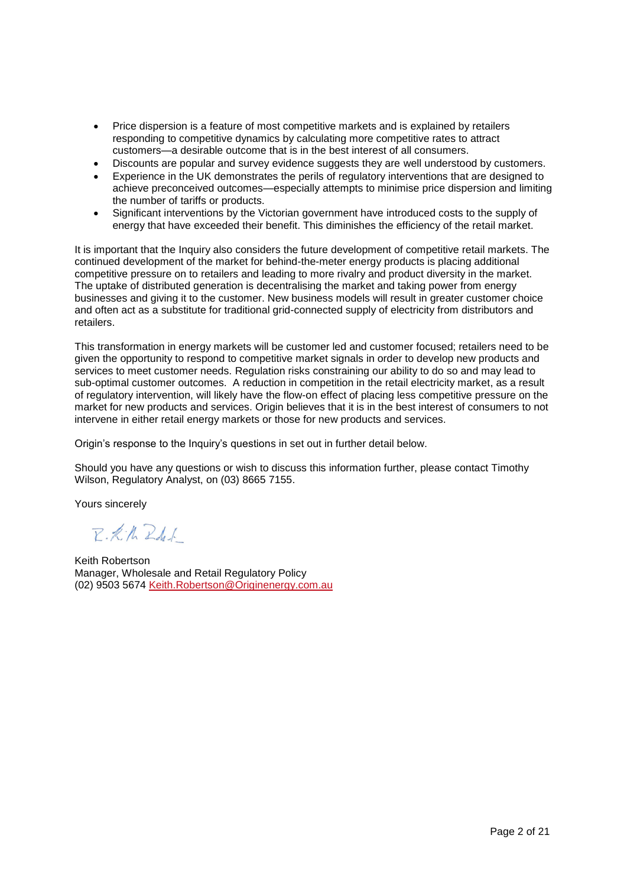- Price dispersion is a feature of most competitive markets and is explained by retailers responding to competitive dynamics by calculating more competitive rates to attract customers—a desirable outcome that is in the best interest of all consumers.
- Discounts are popular and survey evidence suggests they are well understood by customers.
- Experience in the UK demonstrates the perils of regulatory interventions that are designed to achieve preconceived outcomes—especially attempts to minimise price dispersion and limiting the number of tariffs or products.
- Significant interventions by the Victorian government have introduced costs to the supply of energy that have exceeded their benefit. This diminishes the efficiency of the retail market.

It is important that the Inquiry also considers the future development of competitive retail markets. The continued development of the market for behind-the-meter energy products is placing additional competitive pressure on to retailers and leading to more rivalry and product diversity in the market. The uptake of distributed generation is decentralising the market and taking power from energy businesses and giving it to the customer. New business models will result in greater customer choice and often act as a substitute for traditional grid-connected supply of electricity from distributors and retailers.

This transformation in energy markets will be customer led and customer focused; retailers need to be given the opportunity to respond to competitive market signals in order to develop new products and services to meet customer needs. Regulation risks constraining our ability to do so and may lead to sub-optimal customer outcomes. A reduction in competition in the retail electricity market, as a result of regulatory intervention, will likely have the flow-on effect of placing less competitive pressure on the market for new products and services. Origin believes that it is in the best interest of consumers to not intervene in either retail energy markets or those for new products and services.

Origin's response to the Inquiry's questions in set out in further detail below.

Should you have any questions or wish to discuss this information further, please contact Timothy Wilson, Regulatory Analyst, on (03) 8665 7155.

Yours sincerely

 $P.$  K. R.  $R$  del.

Keith Robertson Manager, Wholesale and Retail Regulatory Policy (02) 9503 5674 [Keith.Robertson@Originenergy.com.au](mailto:Keith.Robertson@Originenergy.com.au)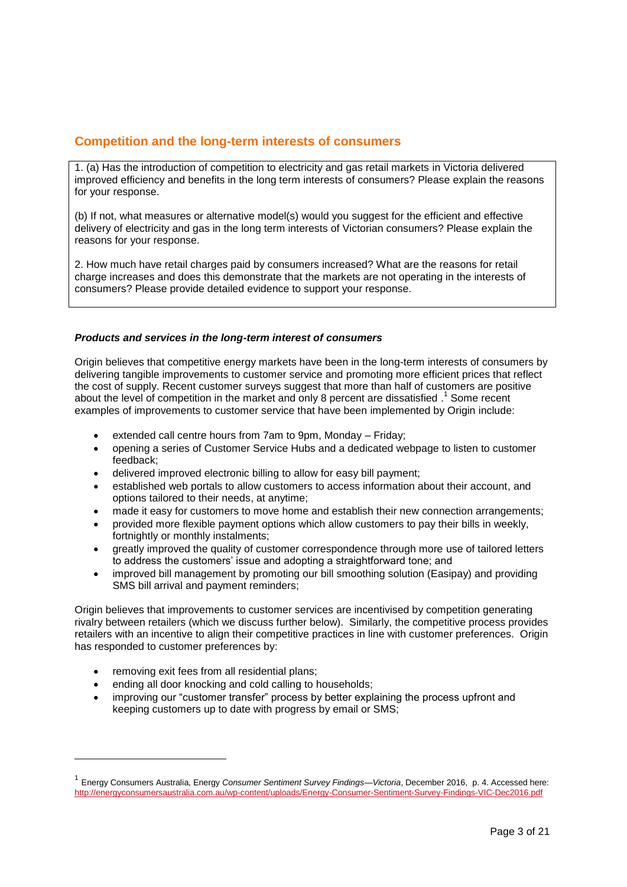# **Competition and the long-term interests of consumers**

1. (a) Has the introduction of competition to electricity and gas retail markets in Victoria delivered improved efficiency and benefits in the long term interests of consumers? Please explain the reasons for your response.

(b) If not, what measures or alternative model(s) would you suggest for the efficient and effective delivery of electricity and gas in the long term interests of Victorian consumers? Please explain the reasons for your response.

2. How much have retail charges paid by consumers increased? What are the reasons for retail charge increases and does this demonstrate that the markets are not operating in the interests of consumers? Please provide detailed evidence to support your response.

### *Products and services in the long-term interest of consumers*

Origin believes that competitive energy markets have been in the long-term interests of consumers by delivering tangible improvements to customer service and promoting more efficient prices that reflect the cost of supply. Recent customer surveys suggest that more than half of customers are positive about the level of competition in the market and only 8 percent are dissatisfied .<sup>1</sup> Some recent examples of improvements to customer service that have been implemented by Origin include:

- extended call centre hours from 7am to 9pm, Monday Friday;
- opening a series of Customer Service Hubs and a dedicated webpage to listen to customer feedback;
- delivered improved electronic billing to allow for easy bill payment;
- established web portals to allow customers to access information about their account, and options tailored to their needs, at anytime;
- made it easy for customers to move home and establish their new connection arrangements;
- provided more flexible payment options which allow customers to pay their bills in weekly, fortnightly or monthly instalments;
- greatly improved the quality of customer correspondence through more use of tailored letters to address the customers' issue and adopting a straightforward tone; and
- improved bill management by promoting our bill smoothing solution (Easipay) and providing SMS bill arrival and payment reminders;

Origin believes that improvements to customer services are incentivised by competition generating rivalry between retailers (which we discuss further below). Similarly, the competitive process provides retailers with an incentive to align their competitive practices in line with customer preferences. Origin has responded to customer preferences by:

removing exit fees from all residential plans;

- ending all door knocking and cold calling to households;
- improving our "customer transfer" process by better explaining the process upfront and keeping customers up to date with progress by email or SMS;

<sup>1</sup> Energy Consumers Australia, Energy *Consumer Sentiment Survey Findings—Victoria*, December 2016, p. 4. Accessed here: <http://energyconsumersaustralia.com.au/wp-content/uploads/Energy-Consumer-Sentiment-Survey-Findings-VIC-Dec2016.pdf>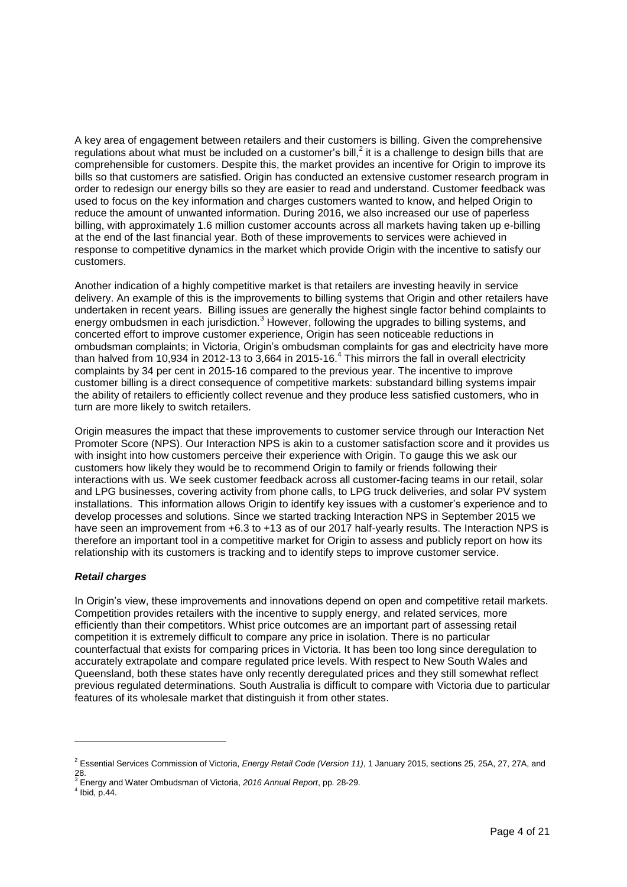A key area of engagement between retailers and their customers is billing. Given the comprehensive regulations about what must be included on a customer's bill, $^2$  it is a challenge to design bills that are comprehensible for customers. Despite this, the market provides an incentive for Origin to improve its bills so that customers are satisfied. Origin has conducted an extensive customer research program in order to redesign our energy bills so they are easier to read and understand. Customer feedback was used to focus on the key information and charges customers wanted to know, and helped Origin to reduce the amount of unwanted information. During 2016, we also increased our use of paperless billing, with approximately 1.6 million customer accounts across all markets having taken up e-billing at the end of the last financial year. Both of these improvements to services were achieved in response to competitive dynamics in the market which provide Origin with the incentive to satisfy our customers.

Another indication of a highly competitive market is that retailers are investing heavily in service delivery. An example of this is the improvements to billing systems that Origin and other retailers have undertaken in recent years. Billing issues are generally the highest single factor behind complaints to energy ombudsmen in each jurisdiction.<sup>3</sup> However, following the upgrades to billing systems, and concerted effort to improve customer experience, Origin has seen noticeable reductions in ombudsman complaints; in Victoria, Origin's ombudsman complaints for gas and electricity have more than halved from 10,934 in 2012-13 to 3,664 in 2015-16.<sup>4</sup> This mirrors the fall in overall electricity complaints by 34 per cent in 2015-16 compared to the previous year. The incentive to improve customer billing is a direct consequence of competitive markets: substandard billing systems impair the ability of retailers to efficiently collect revenue and they produce less satisfied customers, who in turn are more likely to switch retailers.

Origin measures the impact that these improvements to customer service through our Interaction Net Promoter Score (NPS). Our Interaction NPS is akin to a customer satisfaction score and it provides us with insight into how customers perceive their experience with Origin. To gauge this we ask our customers how likely they would be to recommend Origin to family or friends following their interactions with us. We seek customer feedback across all customer-facing teams in our retail, solar and LPG businesses, covering activity from phone calls, to LPG truck deliveries, and solar PV system installations. This information allows Origin to identify key issues with a customer's experience and to develop processes and solutions. Since we started tracking Interaction NPS in September 2015 we have seen an improvement from +6.3 to +13 as of our 2017 half-yearly results. The Interaction NPS is therefore an important tool in a competitive market for Origin to assess and publicly report on how its relationship with its customers is tracking and to identify steps to improve customer service.

## *Retail charges*

In Origin's view, these improvements and innovations depend on open and competitive retail markets. Competition provides retailers with the incentive to supply energy, and related services, more efficiently than their competitors. Whist price outcomes are an important part of assessing retail competition it is extremely difficult to compare any price in isolation. There is no particular counterfactual that exists for comparing prices in Victoria. It has been too long since deregulation to accurately extrapolate and compare regulated price levels. With respect to New South Wales and Queensland, both these states have only recently deregulated prices and they still somewhat reflect previous regulated determinations. South Australia is difficult to compare with Victoria due to particular features of its wholesale market that distinguish it from other states.

<sup>2</sup> Essential Services Commission of Victoria, *Energy Retail Code (Version 11)*, 1 January 2015, sections 25, 25A, 27, 27A, and

<sup>28.</sup> <sup>3</sup> Energy and Water Ombudsman of Victoria, *2016 Annual Report*, pp. 28-29. 4

 $4$  Ibid, p. 44.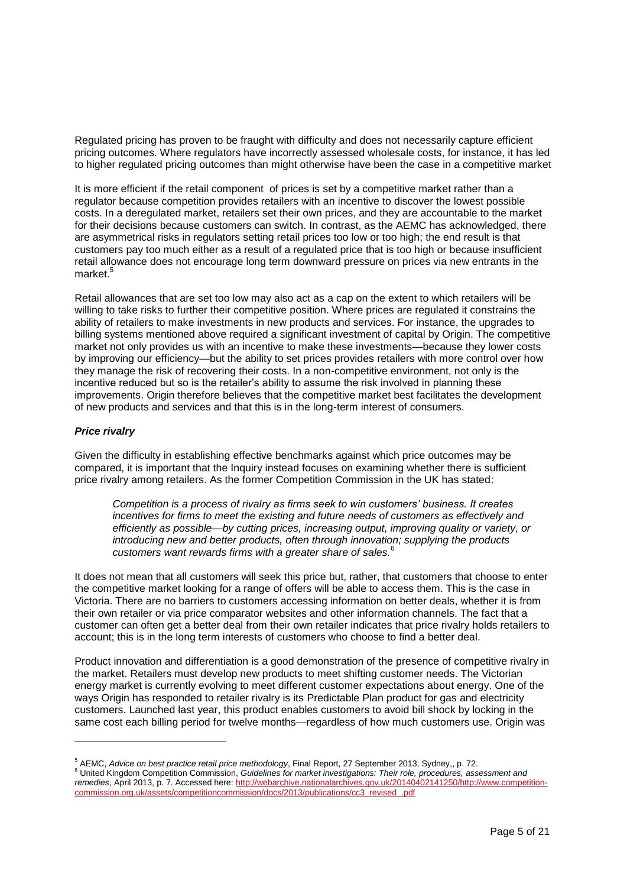Regulated pricing has proven to be fraught with difficulty and does not necessarily capture efficient pricing outcomes. Where regulators have incorrectly assessed wholesale costs, for instance, it has led to higher regulated pricing outcomes than might otherwise have been the case in a competitive market

It is more efficient if the retail component of prices is set by a competitive market rather than a regulator because competition provides retailers with an incentive to discover the lowest possible costs. In a deregulated market, retailers set their own prices, and they are accountable to the market for their decisions because customers can switch. In contrast, as the AEMC has acknowledged, there are asymmetrical risks in regulators setting retail prices too low or too high; the end result is that customers pay too much either as a result of a regulated price that is too high or because insufficient retail allowance does not encourage long term downward pressure on prices via new entrants in the market.<sup>5</sup>

Retail allowances that are set too low may also act as a cap on the extent to which retailers will be willing to take risks to further their competitive position. Where prices are regulated it constrains the ability of retailers to make investments in new products and services. For instance, the upgrades to billing systems mentioned above required a significant investment of capital by Origin. The competitive market not only provides us with an incentive to make these investments—because they lower costs by improving our efficiency—but the ability to set prices provides retailers with more control over how they manage the risk of recovering their costs. In a non-competitive environment, not only is the incentive reduced but so is the retailer's ability to assume the risk involved in planning these improvements. Origin therefore believes that the competitive market best facilitates the development of new products and services and that this is in the long-term interest of consumers.

### *Price rivalry*

l

Given the difficulty in establishing effective benchmarks against which price outcomes may be compared, it is important that the Inquiry instead focuses on examining whether there is sufficient price rivalry among retailers. As the former Competition Commission in the UK has stated:

*Competition is a process of rivalry as firms seek to win customers' business. It creates incentives for firms to meet the existing and future needs of customers as effectively and efficiently as possible—by cutting prices, increasing output, improving quality or variety, or introducing new and better products, often through innovation; supplying the products*  customers want rewards firms with a greater share of sales.

It does not mean that all customers will seek this price but, rather, that customers that choose to enter the competitive market looking for a range of offers will be able to access them. This is the case in Victoria. There are no barriers to customers accessing information on better deals, whether it is from their own retailer or via price comparator websites and other information channels. The fact that a customer can often get a better deal from their own retailer indicates that price rivalry holds retailers to account; this is in the long term interests of customers who choose to find a better deal.

Product innovation and differentiation is a good demonstration of the presence of competitive rivalry in the market. Retailers must develop new products to meet shifting customer needs. The Victorian energy market is currently evolving to meet different customer expectations about energy. One of the ways Origin has responded to retailer rivalry is its Predictable Plan product for gas and electricity customers. Launched last year, this product enables customers to avoid bill shock by locking in the same cost each billing period for twelve months—regardless of how much customers use. Origin was

<sup>5</sup> AEMC, *Advice on best practice retail price methodology*, Final Report, 27 September 2013, Sydney,, p. 72.

<sup>6</sup> United Kingdom Competition Commission, *Guidelines for market investigations: Their role, procedures, assessment and remedies*, April 2013, p. 7. Accessed here: [http://webarchive.nationalarchives.gov.uk/20140402141250/http://www.competition](http://webarchive.nationalarchives.gov.uk/20140402141250/http:/www.competition-commission.org.uk/assets/competitioncommission/docs/2013/publications/cc3_revised_.pdf)competitioncommission/docs/2013/publications/cc3\_revised\_.pdf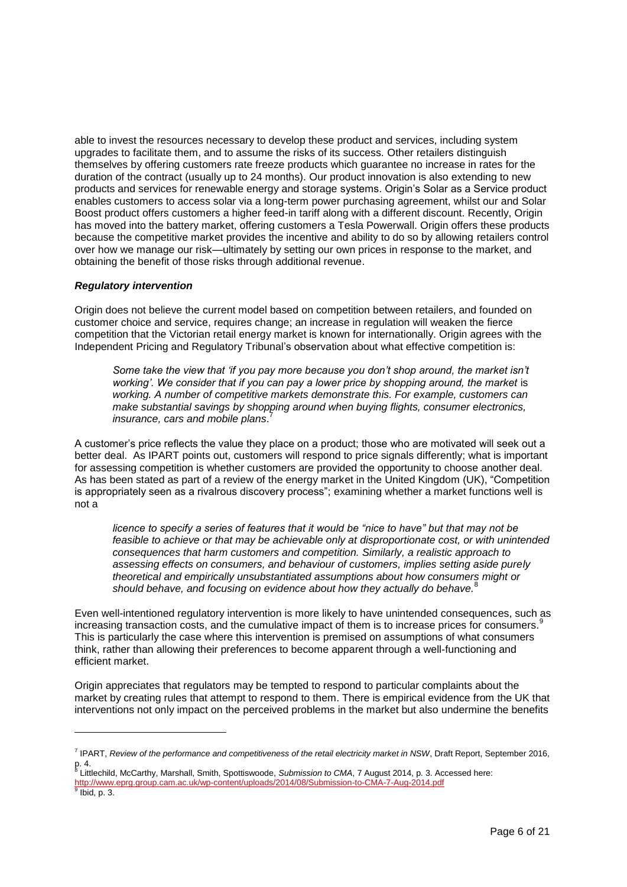able to invest the resources necessary to develop these product and services, including system upgrades to facilitate them, and to assume the risks of its success. Other retailers distinguish themselves by offering customers rate freeze products which guarantee no increase in rates for the duration of the contract (usually up to 24 months). Our product innovation is also extending to new products and services for renewable energy and storage systems. Origin's Solar as a Service product enables customers to access solar via a long-term power purchasing agreement, whilst our and Solar Boost product offers customers a higher feed-in tariff along with a different discount. Recently, Origin has moved into the battery market, offering customers a Tesla Powerwall. Origin offers these products because the competitive market provides the incentive and ability to do so by allowing retailers control over how we manage our risk—ultimately by setting our own prices in response to the market, and obtaining the benefit of those risks through additional revenue.

### *Regulatory intervention*

l

Origin does not believe the current model based on competition between retailers, and founded on customer choice and service, requires change; an increase in regulation will weaken the fierce competition that the Victorian retail energy market is known for internationally. Origin agrees with the Independent Pricing and Regulatory Tribunal's observation about what effective competition is:

Some take the view that 'if you pay more because you don't shop around, the market isn't working'. We consider that if you can pay a lower price by shopping around, the market is *working. A number of competitive markets demonstrate this. For example, customers can make substantial savings by shopping around when buying flights, consumer electronics, insurance, cars and mobile plans*. 7

A customer's price reflects the value they place on a product; those who are motivated will seek out a better deal. As IPART points out, customers will respond to price signals differently; what is important for assessing competition is whether customers are provided the opportunity to choose another deal. As has been stated as part of a review of the energy market in the United Kingdom (UK), "Competition is appropriately seen as a rivalrous discovery process"; examining whether a market functions well is not a

*licence to specify a series of features that it would be "nice to have" but that may not be feasible to achieve or that may be achievable only at disproportionate cost, or with unintended consequences that harm customers and competition. Similarly, a realistic approach to assessing effects on consumers, and behaviour of customers, implies setting aside purely theoretical and empirically unsubstantiated assumptions about how consumers might or*  should behave, and focusing on evidence about how they actually do behave.<sup>8</sup>

Even well-intentioned regulatory intervention is more likely to have unintended consequences, such as increasing transaction costs, and the cumulative impact of them is to increase prices for consumers. This is particularly the case where this intervention is premised on assumptions of what consumers think, rather than allowing their preferences to become apparent through a well-functioning and efficient market.

Origin appreciates that regulators may be tempted to respond to particular complaints about the market by creating rules that attempt to respond to them. There is empirical evidence from the UK that interventions not only impact on the perceived problems in the market but also undermine the benefits

<http://www.eprg.group.cam.ac.uk/wp-content/uploads/2014/08/Submission-to-CMA-7-Aug-2014.pdf> 9 Ibid, p. 3.

<sup>7</sup> IPART, *Review of the performance and competitiveness of the retail electricity market in NSW*, Draft Report, September 2016, p. 4. 8 Littlechild, McCarthy, Marshall, Smith, Spottiswoode, *Submission to CMA*, 7 August 2014, p. 3. Accessed here: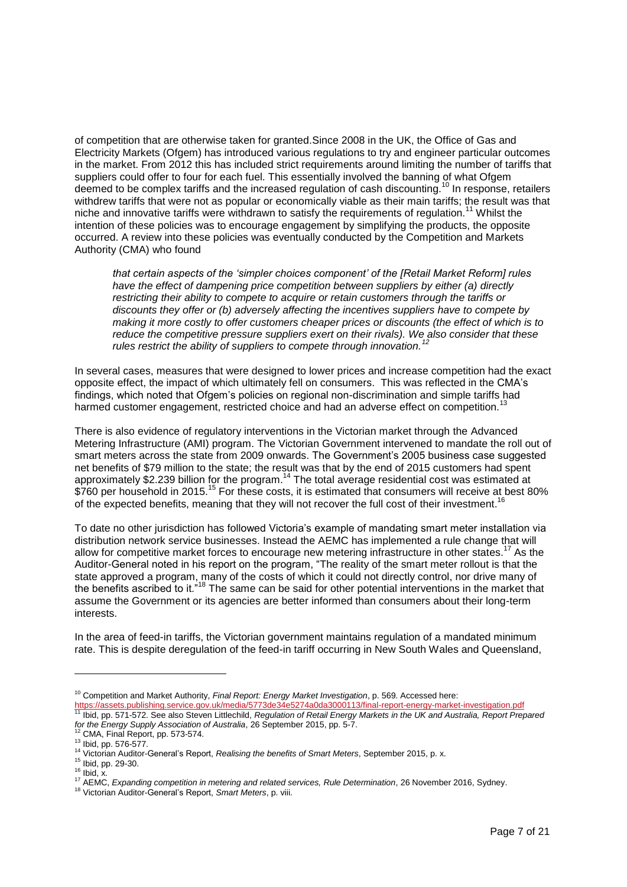of competition that are otherwise taken for granted.Since 2008 in the UK, the Office of Gas and Electricity Markets (Ofgem) has introduced various regulations to try and engineer particular outcomes in the market. From 2012 this has included strict requirements around limiting the number of tariffs that suppliers could offer to four for each fuel. This essentially involved the banning of what Ofgem deemed to be complex tariffs and the increased regulation of cash discounting.<sup>10</sup> In response, retailers withdrew tariffs that were not as popular or economically viable as their main tariffs; the result was that niche and innovative tariffs were withdrawn to satisfy the requirements of regulation.<sup>11</sup> Whilst the intention of these policies was to encourage engagement by simplifying the products, the opposite occurred. A review into these policies was eventually conducted by the Competition and Markets Authority (CMA) who found

*that certain aspects of the 'simpler choices component' of the [Retail Market Reform] rules have the effect of dampening price competition between suppliers by either (a) directly restricting their ability to compete to acquire or retain customers through the tariffs or discounts they offer or (b) adversely affecting the incentives suppliers have to compete by making it more costly to offer customers cheaper prices or discounts (the effect of which is to reduce the competitive pressure suppliers exert on their rivals). We also consider that these rules restrict the ability of suppliers to compete through innovation.*<sup>2</sup>

In several cases, measures that were designed to lower prices and increase competition had the exact opposite effect, the impact of which ultimately fell on consumers. This was reflected in the CMA's findings, which noted that Ofgem's policies on regional non-discrimination and simple tariffs had harmed customer engagement, restricted choice and had an adverse effect on competition.<sup>13</sup>

There is also evidence of regulatory interventions in the Victorian market through the Advanced Metering Infrastructure (AMI) program. The Victorian Government intervened to mandate the roll out of smart meters across the state from 2009 onwards. The Government's 2005 business case suggested net benefits of \$79 million to the state; the result was that by the end of 2015 customers had spent approximately \$2.239 billion for the program.<sup>14</sup> The total average residential cost was estimated at \$760 per household in 2015.<sup>15</sup> For these costs, it is estimated that consumers will receive at best 80% of the expected benefits, meaning that they will not recover the full cost of their investment.<sup>16</sup>

To date no other jurisdiction has followed Victoria's example of mandating smart meter installation via distribution network service businesses. Instead the AEMC has implemented a rule change that will allow for competitive market forces to encourage new metering infrastructure in other states.<sup>17</sup> As the Auditor-General noted in his report on the program, "The reality of the smart meter rollout is that the state approved a program, many of the costs of which it could not directly control, nor drive many of the benefits ascribed to it."<sup>18</sup> The same can be said for other potential interventions in the market that assume the Government or its agencies are better informed than consumers about their long-term interests.

In the area of feed-in tariffs, the Victorian government maintains regulation of a mandated minimum rate. This is despite deregulation of the feed-in tariff occurring in New South Wales and Queensland,

<sup>10</sup> Competition and Market Authority, *Final Report: Energy Market Investigation*, p. 569. Accessed here:

<https://assets.publishing.service.gov.uk/media/5773de34e5274a0da3000113/final-report-energy-market-investigation.pdf><br><sup>11</sup> lbid ap. 571,573, Sex slips.0thextigation.pdf <sup>11</sup> Ibid, pp. 571-572. See also Steven Littlechild, *Regulation of Retail Energy Markets in the UK and Australia, Report Prepared for the Energy Supply Association of Australia*, 26 September 2015, pp. 5-7.

 $2^2$  CMA, Final Report, pp. 573-574.

<sup>13</sup> Ibid, pp. 576-577.

<sup>14</sup> Victorian Auditor-General's Report, *Realising the benefits of Smart Meters*, September 2015, p. x.

<sup>15</sup> Ibid, pp. 29-30.

 $16$  Ibid, x.

<sup>17</sup> AEMC, *Expanding competition in metering and related services, Rule Determination*, 26 November 2016, Sydney.

<sup>18</sup> Victorian Auditor-General's Report, *Smart Meters*, p. viii.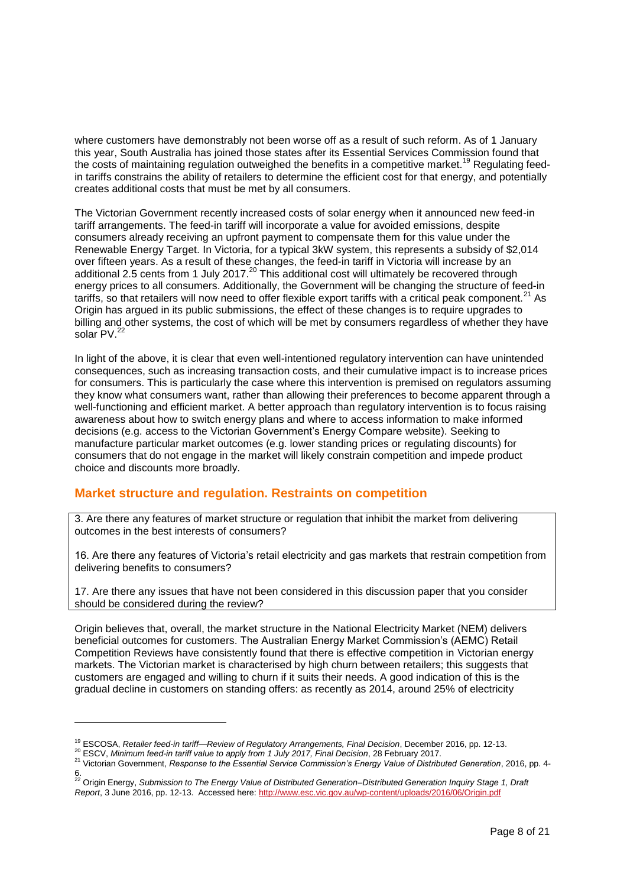where customers have demonstrably not been worse off as a result of such reform. As of 1 January this year, South Australia has joined those states after its Essential Services Commission found that the costs of maintaining regulation outweighed the benefits in a competitive market.<sup>19</sup> Regulating feedin tariffs constrains the ability of retailers to determine the efficient cost for that energy, and potentially creates additional costs that must be met by all consumers.

The Victorian Government recently increased costs of solar energy when it announced new feed-in tariff arrangements. The feed-in tariff will incorporate a value for avoided emissions, despite consumers already receiving an upfront payment to compensate them for this value under the Renewable Energy Target. In Victoria, for a typical 3kW system, this represents a subsidy of \$2,014 over fifteen years. As a result of these changes, the feed-in tariff in Victoria will increase by an additional 2.5 cents from 1 July 2017.<sup>20</sup> This additional cost will ultimately be recovered through energy prices to all consumers. Additionally, the Government will be changing the structure of feed-in tariffs, so that retailers will now need to offer flexible export tariffs with a critical peak component. $^{21}$  As Origin has argued in its public submissions, the effect of these changes is to require upgrades to billing and other systems, the cost of which will be met by consumers regardless of whether they have solar PV.<sup>2</sup>

In light of the above, it is clear that even well-intentioned regulatory intervention can have unintended consequences, such as increasing transaction costs, and their cumulative impact is to increase prices for consumers. This is particularly the case where this intervention is premised on regulators assuming they know what consumers want, rather than allowing their preferences to become apparent through a well-functioning and efficient market. A better approach than regulatory intervention is to focus raising awareness about how to switch energy plans and where to access information to make informed decisions (e.g. access to the Victorian Government's Energy Compare website). Seeking to manufacture particular market outcomes (e.g. lower standing prices or regulating discounts) for consumers that do not engage in the market will likely constrain competition and impede product choice and discounts more broadly.

## **Market structure and regulation. Restraints on competition**

3. Are there any features of market structure or regulation that inhibit the market from delivering outcomes in the best interests of consumers?

16. Are there any features of Victoria's retail electricity and gas markets that restrain competition from delivering benefits to consumers?

17. Are there any issues that have not been considered in this discussion paper that you consider should be considered during the review?

Origin believes that, overall, the market structure in the National Electricity Market (NEM) delivers beneficial outcomes for customers. The Australian Energy Market Commission's (AEMC) Retail Competition Reviews have consistently found that there is effective competition in Victorian energy markets. The Victorian market is characterised by high churn between retailers; this suggests that customers are engaged and willing to churn if it suits their needs. A good indication of this is the gradual decline in customers on standing offers: as recently as 2014, around 25% of electricity

<sup>19</sup> ESCOSA, *Retailer feed-in tariff—Review of Regulatory Arrangements, Final Decision*, December 2016, pp. 12-13.

<sup>20</sup> ESCV, *Minimum feed-in tariff value to apply from 1 July 2017, Final Decision*, 28 February 2017.

<sup>21</sup> Victorian Government, *Response to the Essential Service Commission's Energy Value of Distributed Generation*, 2016, pp. 4-

<sup>6.</sup> <sup>22</sup> Origin Energy, *Submission to The Energy Value of Distributed Generation–Distributed Generation Inquiry Stage 1, Draft Report*, 3 June 2016, pp. 12-13. Accessed here[: http://www.esc.vic.gov.au/wp-content/uploads/2016/06/Origin.pdf](http://www.esc.vic.gov.au/wp-content/uploads/2016/06/Origin.pdf)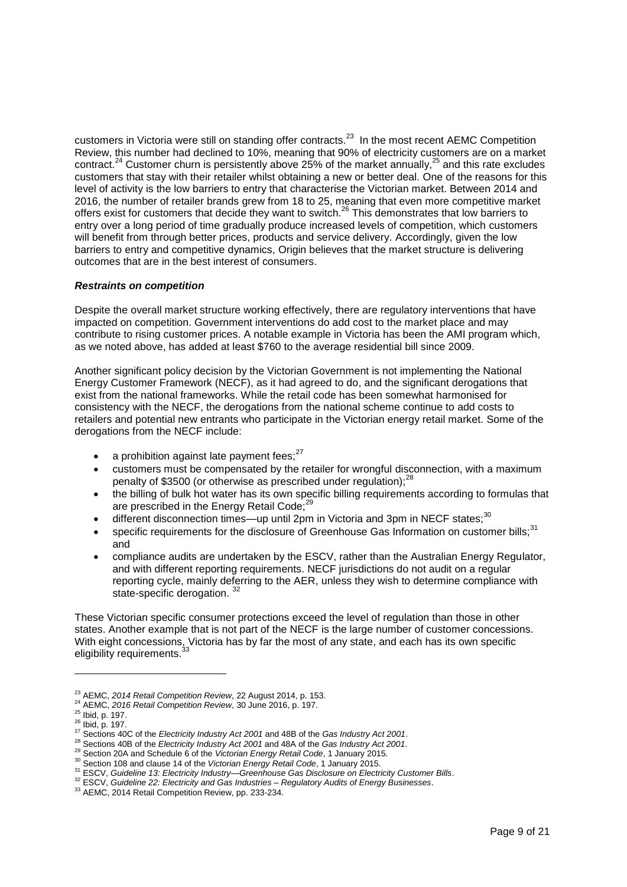customers in Victoria were still on standing offer contracts.<sup>23</sup> In the most recent AEMC Competition Review, this number had declined to 10%, meaning that 90% of electricity customers are on a market contract.<sup>24</sup> Customer churn is persistently above 25% of the market annually,<sup>25</sup> and this rate excludes customers that stay with their retailer whilst obtaining a new or better deal. One of the reasons for this level of activity is the low barriers to entry that characterise the Victorian market. Between 2014 and 2016, the number of retailer brands grew from 18 to 25, meaning that even more competitive market offers exist for customers that decide they want to switch.<sup>26</sup> This demonstrates that low barriers to entry over a long period of time gradually produce increased levels of competition, which customers will benefit from through better prices, products and service delivery. Accordingly, given the low barriers to entry and competitive dynamics, Origin believes that the market structure is delivering outcomes that are in the best interest of consumers.

### *Restraints on competition*

Despite the overall market structure working effectively, there are regulatory interventions that have impacted on competition. Government interventions do add cost to the market place and may contribute to rising customer prices. A notable example in Victoria has been the AMI program which, as we noted above, has added at least \$760 to the average residential bill since 2009.

Another significant policy decision by the Victorian Government is not implementing the National Energy Customer Framework (NECF), as it had agreed to do, and the significant derogations that exist from the national frameworks. While the retail code has been somewhat harmonised for consistency with the NECF, the derogations from the national scheme continue to add costs to retailers and potential new entrants who participate in the Victorian energy retail market. Some of the derogations from the NECF include:

- a prohibition against late payment fees: $27$
- customers must be compensated by the retailer for wrongful disconnection, with a maximum penalty of \$3500 (or otherwise as prescribed under regulation); $<sup>2</sup>$ </sup>
- the billing of bulk hot water has its own specific billing requirements according to formulas that are prescribed in the Energy Retail Code:<sup>29</sup>
- different disconnection times—up until 2pm in Victoria and 3pm in NECF states; $30$
- specific requirements for the disclosure of Greenhouse Gas Information on customer bills;<sup>31</sup> and
- compliance audits are undertaken by the ESCV, rather than the Australian Energy Regulator, and with different reporting requirements. NECF jurisdictions do not audit on a regular reporting cycle, mainly deferring to the AER, unless they wish to determine compliance with state-specific derogation. 32

These Victorian specific consumer protections exceed the level of regulation than those in other states. Another example that is not part of the NECF is the large number of customer concessions. With eight concessions, Victoria has by far the most of any state, and each has its own specific eligibility requirements.<sup>33</sup>

<sup>23</sup> AEMC, *2014 Retail Competition Review*, 22 August 2014, p. 153.

<sup>24</sup> AEMC, *2016 Retail Competition Review*, 30 June 2016, p. 197.

 $25$  Ibid, p. 197.

<sup>26</sup> Ibid, p. 197.

<sup>27</sup> Sections 40C of the *Electricity Industry Act 2001* and 48B of the *Gas Industry Act 2001*.

<sup>28</sup> Sections 40B of the *Electricity Industry Act 2001* and 48A of the *Gas Industry Act 2001*.

<sup>29</sup> Section 20A and Schedule 6 of the *Victorian Energy Retail Code*, 1 January 2015.

<sup>30</sup> Section 108 and clause 14 of the *Victorian Energy Retail Code*, 1 January 2015.

<sup>31</sup> ESCV, *Guideline 13: Electricity Industry—Greenhouse Gas Disclosure on Electricity Customer Bills*.

<sup>32</sup> ESCV, *Guideline 22: Electricity and Gas Industries – Regulatory Audits of Energy Businesses*.

<sup>33</sup> AEMC, 2014 Retail Competition Review, pp. 233-234.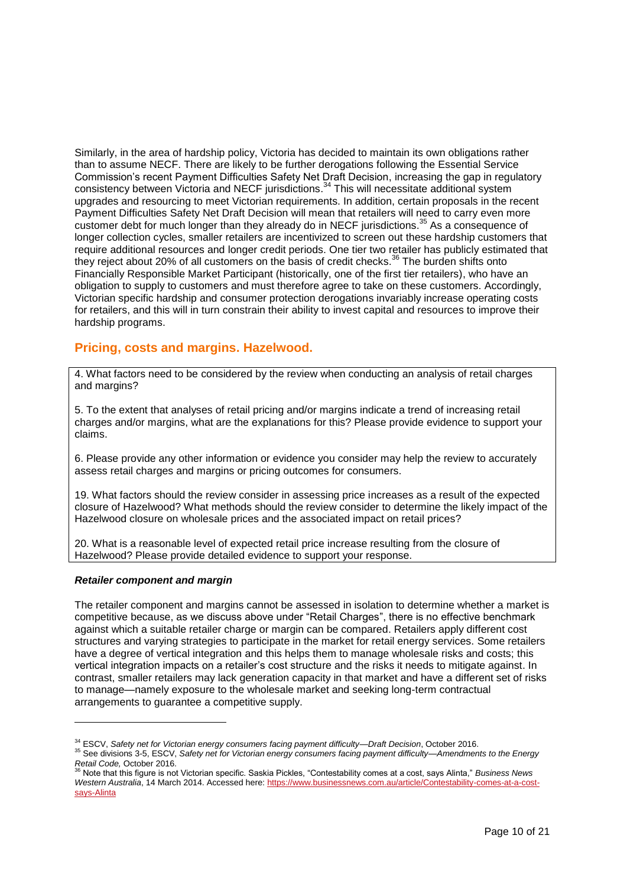Similarly, in the area of hardship policy, Victoria has decided to maintain its own obligations rather than to assume NECF. There are likely to be further derogations following the Essential Service Commission's recent Payment Difficulties Safety Net Draft Decision, increasing the gap in regulatory consistency between Victoria and NECF jurisdictions.<sup>34</sup> This will necessitate additional system upgrades and resourcing to meet Victorian requirements. In addition, certain proposals in the recent Payment Difficulties Safety Net Draft Decision will mean that retailers will need to carry even more customer debt for much longer than they already do in NECF jurisdictions. <sup>35</sup> As a consequence of longer collection cycles, smaller retailers are incentivized to screen out these hardship customers that require additional resources and longer credit periods. One tier two retailer has publicly estimated that they reject about 20% of all customers on the basis of credit checks.<sup>36</sup> The burden shifts onto Financially Responsible Market Participant (historically, one of the first tier retailers), who have an obligation to supply to customers and must therefore agree to take on these customers. Accordingly, Victorian specific hardship and consumer protection derogations invariably increase operating costs for retailers, and this will in turn constrain their ability to invest capital and resources to improve their hardship programs.

## **Pricing, costs and margins. Hazelwood.**

4. What factors need to be considered by the review when conducting an analysis of retail charges and margins?

5. To the extent that analyses of retail pricing and/or margins indicate a trend of increasing retail charges and/or margins, what are the explanations for this? Please provide evidence to support your claims.

6. Please provide any other information or evidence you consider may help the review to accurately assess retail charges and margins or pricing outcomes for consumers.

19. What factors should the review consider in assessing price increases as a result of the expected closure of Hazelwood? What methods should the review consider to determine the likely impact of the Hazelwood closure on wholesale prices and the associated impact on retail prices?

20. What is a reasonable level of expected retail price increase resulting from the closure of Hazelwood? Please provide detailed evidence to support your response.

### *Retailer component and margin*

l

The retailer component and margins cannot be assessed in isolation to determine whether a market is competitive because, as we discuss above under "Retail Charges", there is no effective benchmark against which a suitable retailer charge or margin can be compared. Retailers apply different cost structures and varying strategies to participate in the market for retail energy services. Some retailers have a degree of vertical integration and this helps them to manage wholesale risks and costs; this vertical integration impacts on a retailer's cost structure and the risks it needs to mitigate against. In contrast, smaller retailers may lack generation capacity in that market and have a different set of risks to manage—namely exposure to the wholesale market and seeking long-term contractual arrangements to guarantee a competitive supply.

<sup>34</sup> ESCV, *Safety net for Victorian energy consumers facing payment difficulty—Draft Decision*, October 2016.

<sup>35</sup> See divisions 3-5, ESCV, *Safety net for Victorian energy consumers facing payment difficulty—Amendments to the Energy* 

*Retail Code,* October 2016. <sup>36</sup> Note that this figure is not Victorian specific. Saskia Pickles, "Contestability comes at a cost, says Alinta," *Business News Western Australia*, 14 March 2014. Accessed here[: https://www.businessnews.com.au/article/Contestability-comes-at-a-cost](https://www.businessnews.com.au/article/Contestability-comes-at-a-cost-says-Alinta)[says-Alinta](https://www.businessnews.com.au/article/Contestability-comes-at-a-cost-says-Alinta)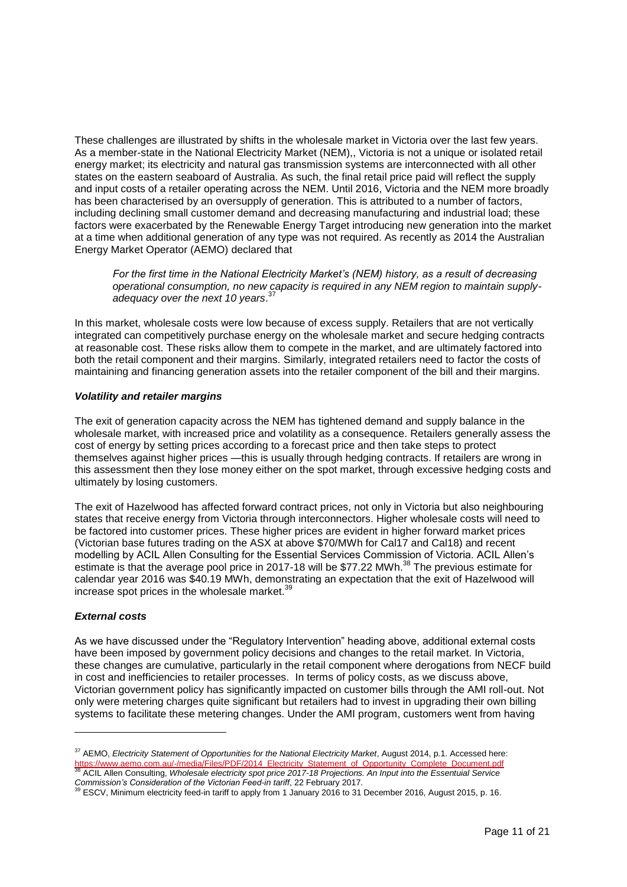These challenges are illustrated by shifts in the wholesale market in Victoria over the last few years. As a member-state in the National Electricity Market (NEM),, Victoria is not a unique or isolated retail energy market; its electricity and natural gas transmission systems are interconnected with all other states on the eastern seaboard of Australia. As such, the final retail price paid will reflect the supply and input costs of a retailer operating across the NEM. Until 2016, Victoria and the NEM more broadly has been characterised by an oversupply of generation. This is attributed to a number of factors, including declining small customer demand and decreasing manufacturing and industrial load; these factors were exacerbated by the Renewable Energy Target introducing new generation into the market at a time when additional generation of any type was not required. As recently as 2014 the Australian Energy Market Operator (AEMO) declared that

*For the first time in the National Electricity Market's (NEM) history, as a result of decreasing operational consumption, no new capacity is required in any NEM region to maintain supplyadequacy over the next 10 years*. 37

In this market, wholesale costs were low because of excess supply. Retailers that are not vertically integrated can competitively purchase energy on the wholesale market and secure hedging contracts at reasonable cost. These risks allow them to compete in the market, and are ultimately factored into both the retail component and their margins. Similarly, integrated retailers need to factor the costs of maintaining and financing generation assets into the retailer component of the bill and their margins.

### *Volatility and retailer margins*

The exit of generation capacity across the NEM has tightened demand and supply balance in the wholesale market, with increased price and volatility as a consequence. Retailers generally assess the cost of energy by setting prices according to a forecast price and then take steps to protect themselves against higher prices —this is usually through hedging contracts. If retailers are wrong in this assessment then they lose money either on the spot market, through excessive hedging costs and ultimately by losing customers.

The exit of Hazelwood has affected forward contract prices, not only in Victoria but also neighbouring states that receive energy from Victoria through interconnectors. Higher wholesale costs will need to be factored into customer prices. These higher prices are evident in higher forward market prices (Victorian base futures trading on the ASX at above \$70/MWh for Cal17 and Cal18) and recent modelling by ACIL Allen Consulting for the Essential Services Commission of Victoria. ACIL Allen's estimate is that the average pool price in 2017-18 will be \$77.22 MWh.<sup>38</sup> The previous estimate for calendar year 2016 was \$40.19 MWh, demonstrating an expectation that the exit of Hazelwood will increase spot prices in the wholesale market.<sup>39</sup>

### *External costs*

l

As we have discussed under the "Regulatory Intervention" heading above, additional external costs have been imposed by government policy decisions and changes to the retail market. In Victoria, these changes are cumulative, particularly in the retail component where derogations from NECF build in cost and inefficiencies to retailer processes. In terms of policy costs, as we discuss above, Victorian government policy has significantly impacted on customer bills through the AMI roll-out. Not only were metering charges quite significant but retailers had to invest in upgrading their own billing systems to facilitate these metering changes. Under the AMI program, customers went from having

<sup>37</sup> AEMO, *Electricity Statement of Opportunities for the National Electricity Market*, August 2014, p.1. Accessed here: <u>[https://www.aemo.com.au/-/media/Files/PDF/2014\\_Electricity\\_Statement\\_of\\_Opportunity\\_Complete\\_Document.pdf](https://www.aemo.com.au/-/media/Files/PDF/2014_Electricity_Statement_of_Opportunity_Complete_Document.pdf)</u><br><sup>38</sup> ACIL Allen Consulting, *Wholesale electricity spot price* 2017-18 Projections. An Input into the Essentuial S

*Commission's Consideration of the Victorian Feed-in tariff*, 22 February 2017. <sup>39</sup> ESCV, Minimum electricity feed-in tariff to apply from 1 January 2016 to 31 December 2016, August 2015, p. 16.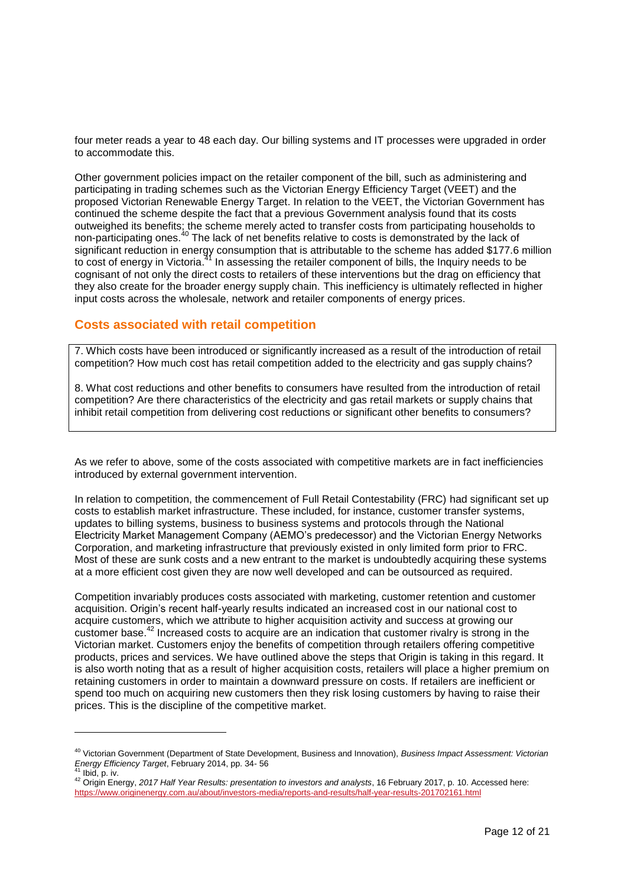four meter reads a year to 48 each day. Our billing systems and IT processes were upgraded in order to accommodate this.

Other government policies impact on the retailer component of the bill, such as administering and participating in trading schemes such as the Victorian Energy Efficiency Target (VEET) and the proposed Victorian Renewable Energy Target. In relation to the VEET, the Victorian Government has continued the scheme despite the fact that a previous Government analysis found that its costs outweighed its benefits; the scheme merely acted to transfer costs from participating households to non-participating ones.<sup>40</sup> The lack of net benefits relative to costs is demonstrated by the lack of significant reduction in energy consumption that is attributable to the scheme has added \$177.6 million to cost of energy in Victoria.<sup>31</sup> In assessing the retailer component of bills, the Inquiry needs to be cognisant of not only the direct costs to retailers of these interventions but the drag on efficiency that they also create for the broader energy supply chain. This inefficiency is ultimately reflected in higher input costs across the wholesale, network and retailer components of energy prices.

## **Costs associated with retail competition**

l

7. Which costs have been introduced or significantly increased as a result of the introduction of retail competition? How much cost has retail competition added to the electricity and gas supply chains?

8. What cost reductions and other benefits to consumers have resulted from the introduction of retail competition? Are there characteristics of the electricity and gas retail markets or supply chains that inhibit retail competition from delivering cost reductions or significant other benefits to consumers?

As we refer to above, some of the costs associated with competitive markets are in fact inefficiencies introduced by external government intervention.

In relation to competition, the commencement of Full Retail Contestability (FRC) had significant set up costs to establish market infrastructure. These included, for instance, customer transfer systems, updates to billing systems, business to business systems and protocols through the National Electricity Market Management Company (AEMO's predecessor) and the Victorian Energy Networks Corporation, and marketing infrastructure that previously existed in only limited form prior to FRC. Most of these are sunk costs and a new entrant to the market is undoubtedly acquiring these systems at a more efficient cost given they are now well developed and can be outsourced as required.

Competition invariably produces costs associated with marketing, customer retention and customer acquisition. Origin's recent half-yearly results indicated an increased cost in our national cost to acquire customers, which we attribute to higher acquisition activity and success at growing our customer base.<sup>42</sup> Increased costs to acquire are an indication that customer rivalry is strong in the Victorian market. Customers enjoy the benefits of competition through retailers offering competitive products, prices and services. We have outlined above the steps that Origin is taking in this regard. It is also worth noting that as a result of higher acquisition costs, retailers will place a higher premium on retaining customers in order to maintain a downward pressure on costs. If retailers are inefficient or spend too much on acquiring new customers then they risk losing customers by having to raise their prices. This is the discipline of the competitive market.

<sup>40</sup> Victorian Government (Department of State Development, Business and Innovation), *Business Impact Assessment: Victorian Energy Efficiency Target*, February 2014, pp. 34- 56 Ibid, p. iv.

<sup>42</sup> Origin Energy, *2017 Half Year Results: presentation to investors and analysts*, 16 February 2017, p. 10. Accessed here: <https://www.originenergy.com.au/about/investors-media/reports-and-results/half-year-results-201702161.html>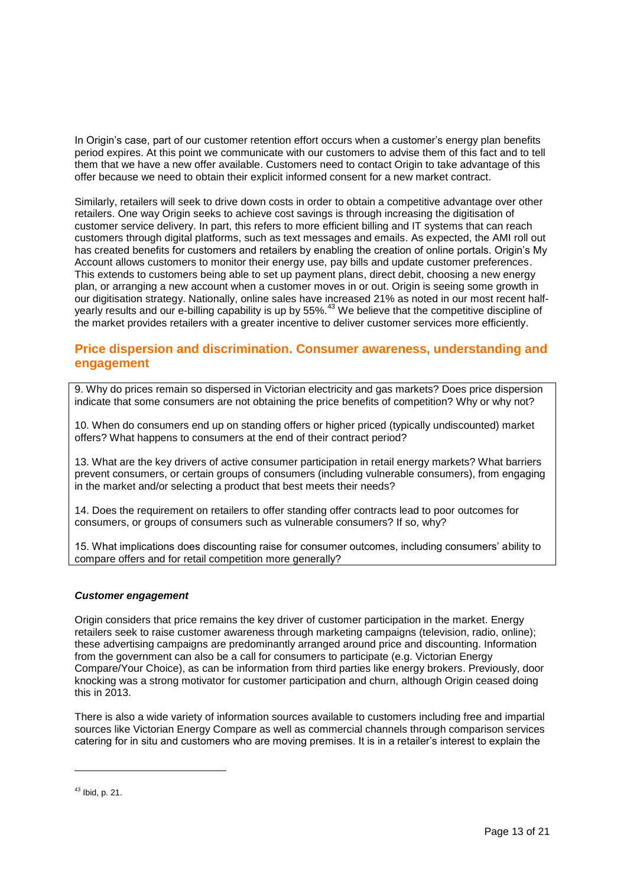In Origin's case, part of our customer retention effort occurs when a customer's energy plan benefits period expires. At this point we communicate with our customers to advise them of this fact and to tell them that we have a new offer available. Customers need to contact Origin to take advantage of this offer because we need to obtain their explicit informed consent for a new market contract.

Similarly, retailers will seek to drive down costs in order to obtain a competitive advantage over other retailers. One way Origin seeks to achieve cost savings is through increasing the digitisation of customer service delivery. In part, this refers to more efficient billing and IT systems that can reach customers through digital platforms, such as text messages and emails. As expected, the AMI roll out has created benefits for customers and retailers by enabling the creation of online portals. Origin's My Account allows customers to monitor their energy use, pay bills and update customer preferences. This extends to customers being able to set up payment plans, direct debit, choosing a new energy plan, or arranging a new account when a customer moves in or out. Origin is seeing some growth in our digitisation strategy. Nationally, online sales have increased 21% as noted in our most recent halfyearly results and our e-billing capability is up by 55%.<sup>43</sup> We believe that the competitive discipline of the market provides retailers with a greater incentive to deliver customer services more efficiently.

# **Price dispersion and discrimination. Consumer awareness, understanding and engagement**

9. Why do prices remain so dispersed in Victorian electricity and gas markets? Does price dispersion indicate that some consumers are not obtaining the price benefits of competition? Why or why not?

10. When do consumers end up on standing offers or higher priced (typically undiscounted) market offers? What happens to consumers at the end of their contract period?

13. What are the key drivers of active consumer participation in retail energy markets? What barriers prevent consumers, or certain groups of consumers (including vulnerable consumers), from engaging in the market and/or selecting a product that best meets their needs?

14. Does the requirement on retailers to offer standing offer contracts lead to poor outcomes for consumers, or groups of consumers such as vulnerable consumers? If so, why?

15. What implications does discounting raise for consumer outcomes, including consumers' ability to compare offers and for retail competition more generally?

### *Customer engagement*

Origin considers that price remains the key driver of customer participation in the market. Energy retailers seek to raise customer awareness through marketing campaigns (television, radio, online); these advertising campaigns are predominantly arranged around price and discounting. Information from the government can also be a call for consumers to participate (e.g. Victorian Energy Compare/Your Choice), as can be information from third parties like energy brokers. Previously, door knocking was a strong motivator for customer participation and churn, although Origin ceased doing this in 2013.

There is also a wide variety of information sources available to customers including free and impartial sources like Victorian Energy Compare as well as commercial channels through comparison services catering for in situ and customers who are moving premises. It is in a retailer's interest to explain the

<sup>43</sup> Ibid, p. 21.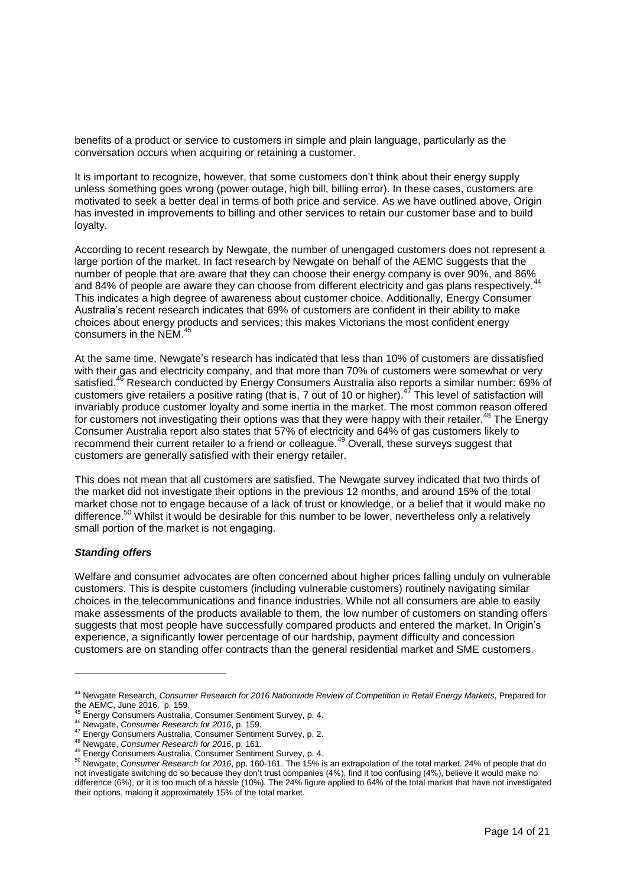benefits of a product or service to customers in simple and plain language, particularly as the conversation occurs when acquiring or retaining a customer.

It is important to recognize, however, that some customers don't think about their energy supply unless something goes wrong (power outage, high bill, billing error). In these cases, customers are motivated to seek a better deal in terms of both price and service. As we have outlined above, Origin has invested in improvements to billing and other services to retain our customer base and to build loyalty.

According to recent research by Newgate, the number of unengaged customers does not represent a large portion of the market. In fact research by Newgate on behalf of the AEMC suggests that the number of people that are aware that they can choose their energy company is over 90%, and 86% and 84% of people are aware they can choose from different electricity and gas plans respectively.<sup>44</sup> This indicates a high degree of awareness about customer choice. Additionally, Energy Consumer Australia's recent research indicates that 69% of customers are confident in their ability to make choices about energy products and services; this makes Victorians the most confident energy consumers in the NEM.<sup>45</sup>

At the same time, Newgate's research has indicated that less than 10% of customers are dissatisfied with their gas and electricity company, and that more than 70% of customers were somewhat or very satisfied.<sup>46</sup> Research conducted by Energy Consumers Australia also reports a similar number: 69% of customers give retailers a positive rating (that is, 7 out of 10 or higher).<sup>47</sup> This level of satisfaction will invariably produce customer loyalty and some inertia in the market. The most common reason offered for customers not investigating their options was that they were happy with their retailer.<sup>48</sup> The Energy Consumer Australia report also states that 57% of electricity and 64% of gas customers likely to recommend their current retailer to a friend or colleague.<sup>49</sup> Overall, these surveys suggest that customers are generally satisfied with their energy retailer.

This does not mean that all customers are satisfied. The Newgate survey indicated that two thirds of the market did not investigate their options in the previous 12 months, and around 15% of the total market chose not to engage because of a lack of trust or knowledge, or a belief that it would make no difference.<sup>50</sup> Whilst it would be desirable for this number to be lower, nevertheless only a relatively small portion of the market is not engaging.

### *Standing offers*

l

Welfare and consumer advocates are often concerned about higher prices falling unduly on vulnerable customers. This is despite customers (including vulnerable customers) routinely navigating similar choices in the telecommunications and finance industries. While not all consumers are able to easily make assessments of the products available to them, the low number of customers on standing offers suggests that most people have successfully compared products and entered the market. In Origin's experience, a significantly lower percentage of our hardship, payment difficulty and concession customers are on standing offer contracts than the general residential market and SME customers.

<sup>44</sup> Newgate Research, *Consumer Research for 2016 Nationwide Review of Competition in Retail Energy Markets*, Prepared for the AEMC, June 2016, p. 159.

<sup>45</sup> Energy Consumers Australia, Consumer Sentiment Survey, p. 4.

<sup>46</sup> Newgate, *Consumer Research for 2016*, p. 159.

<sup>47</sup> Energy Consumers Australia, Consumer Sentiment Survey, p. 2.

<sup>48</sup> Newgate, *Consumer Research for 2016*, p. 161.

<sup>49</sup> Energy Consumers Australia, Consumer Sentiment Survey, p. 4.

<sup>50</sup> Newgate, *Consumer Research for 2016*, pp. 160-161. The 15% is an extrapolation of the total market. 24% of people that do not investigate switching do so because they don't trust companies (4%), find it too confusing (4%), believe it would make no difference (6%), or it is too much of a hassle (10%). The 24% figure applied to 64% of the total market that have not investigated their options, making it approximately 15% of the total market.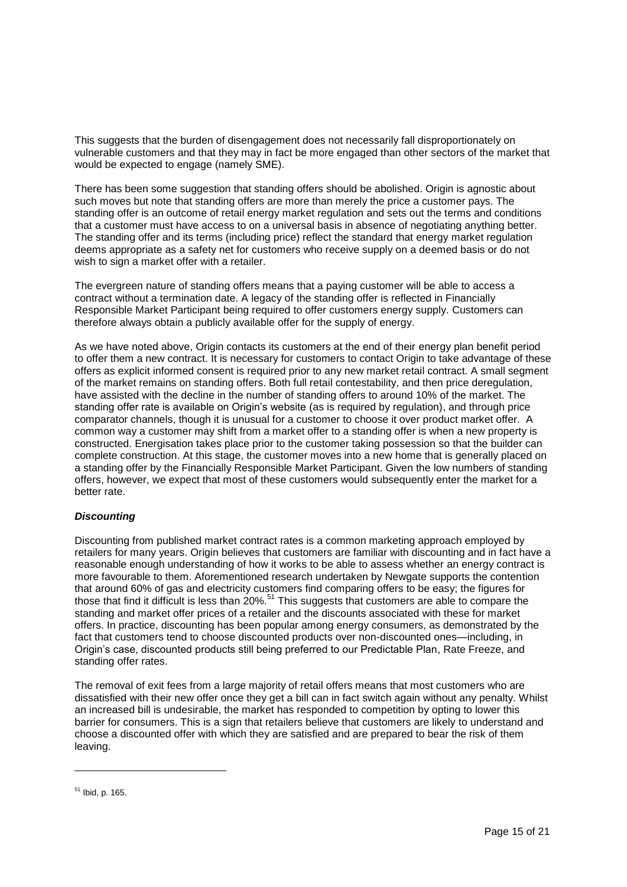This suggests that the burden of disengagement does not necessarily fall disproportionately on vulnerable customers and that they may in fact be more engaged than other sectors of the market that would be expected to engage (namely SME).

There has been some suggestion that standing offers should be abolished. Origin is agnostic about such moves but note that standing offers are more than merely the price a customer pays. The standing offer is an outcome of retail energy market regulation and sets out the terms and conditions that a customer must have access to on a universal basis in absence of negotiating anything better. The standing offer and its terms (including price) reflect the standard that energy market regulation deems appropriate as a safety net for customers who receive supply on a deemed basis or do not wish to sign a market offer with a retailer.

The evergreen nature of standing offers means that a paying customer will be able to access a contract without a termination date. A legacy of the standing offer is reflected in Financially Responsible Market Participant being required to offer customers energy supply. Customers can therefore always obtain a publicly available offer for the supply of energy.

As we have noted above, Origin contacts its customers at the end of their energy plan benefit period to offer them a new contract. It is necessary for customers to contact Origin to take advantage of these offers as explicit informed consent is required prior to any new market retail contract. A small segment of the market remains on standing offers. Both full retail contestability, and then price deregulation, have assisted with the decline in the number of standing offers to around 10% of the market. The standing offer rate is available on Origin's website (as is required by regulation), and through price comparator channels, though it is unusual for a customer to choose it over product market offer. A common way a customer may shift from a market offer to a standing offer is when a new property is constructed. Energisation takes place prior to the customer taking possession so that the builder can complete construction. At this stage, the customer moves into a new home that is generally placed on a standing offer by the Financially Responsible Market Participant. Given the low numbers of standing offers, however, we expect that most of these customers would subsequently enter the market for a better rate.

## *Discounting*

Discounting from published market contract rates is a common marketing approach employed by retailers for many years. Origin believes that customers are familiar with discounting and in fact have a reasonable enough understanding of how it works to be able to assess whether an energy contract is more favourable to them. Aforementioned research undertaken by Newgate supports the contention that around 60% of gas and electricity customers find comparing offers to be easy; the figures for those that find it difficult is less than 20%.<sup>51</sup> This suggests that customers are able to compare the standing and market offer prices of a retailer and the discounts associated with these for market offers. In practice, discounting has been popular among energy consumers, as demonstrated by the fact that customers tend to choose discounted products over non-discounted ones—including, in Origin's case, discounted products still being preferred to our Predictable Plan, Rate Freeze, and standing offer rates.

The removal of exit fees from a large majority of retail offers means that most customers who are dissatisfied with their new offer once they get a bill can in fact switch again without any penalty. Whilst an increased bill is undesirable, the market has responded to competition by opting to lower this barrier for consumers. This is a sign that retailers believe that customers are likely to understand and choose a discounted offer with which they are satisfied and are prepared to bear the risk of them leaving.

 $51$  Ibid, p. 165.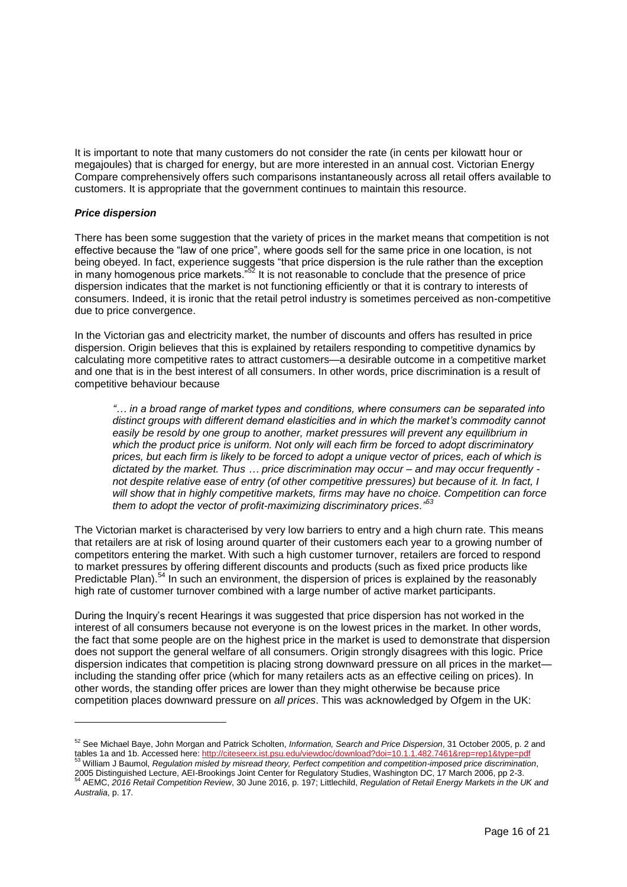It is important to note that many customers do not consider the rate (in cents per kilowatt hour or megajoules) that is charged for energy, but are more interested in an annual cost. Victorian Energy Compare comprehensively offers such comparisons instantaneously across all retail offers available to customers. It is appropriate that the government continues to maintain this resource.

### *Price dispersion*

l

There has been some suggestion that the variety of prices in the market means that competition is not effective because the "law of one price", where goods sell for the same price in one location, is not being obeyed. In fact, experience suggests "that price dispersion is the rule rather than the exception in many homogenous price markets."<sup>52</sup> It is not reasonable to conclude that the presence of price dispersion indicates that the market is not functioning efficiently or that it is contrary to interests of consumers. Indeed, it is ironic that the retail petrol industry is sometimes perceived as non-competitive due to price convergence.

In the Victorian gas and electricity market, the number of discounts and offers has resulted in price dispersion. Origin believes that this is explained by retailers responding to competitive dynamics by calculating more competitive rates to attract customers—a desirable outcome in a competitive market and one that is in the best interest of all consumers. In other words, price discrimination is a result of competitive behaviour because

*"… in a broad range of market types and conditions, where consumers can be separated into distinct groups with different demand elasticities and in which the market's commodity cannot*  easily be resold by one group to another, market pressures will prevent any equilibrium in *which the product price is uniform. Not only will each firm be forced to adopt discriminatory prices, but each firm is likely to be forced to adopt a unique vector of prices, each of which is dictated by the market. Thus … price discrimination may occur – and may occur frequently not despite relative ease of entry (of other competitive pressures) but because of it. In fact, I will show that in highly competitive markets, firms may have no choice. Competition can force them to adopt the vector of profit-maximizing discriminatory prices."<sup>53</sup>*

The Victorian market is characterised by very low barriers to entry and a high churn rate. This means that retailers are at risk of losing around quarter of their customers each year to a growing number of competitors entering the market. With such a high customer turnover, retailers are forced to respond to market pressures by offering different discounts and products (such as fixed price products like Predictable Plan).<sup>54</sup> In such an environment, the dispersion of prices is explained by the reasonably high rate of customer turnover combined with a large number of active market participants.

During the Inquiry's recent Hearings it was suggested that price dispersion has not worked in the interest of all consumers because not everyone is on the lowest prices in the market. In other words, the fact that some people are on the highest price in the market is used to demonstrate that dispersion does not support the general welfare of all consumers. Origin strongly disagrees with this logic. Price dispersion indicates that competition is placing strong downward pressure on all prices in the market including the standing offer price (which for many retailers acts as an effective ceiling on prices). In other words, the standing offer prices are lower than they might otherwise be because price competition places downward pressure on *all prices*. This was acknowledged by Ofgem in the UK:

<sup>52</sup> See Michael Baye, John Morgan and Patrick Scholten, *Information, Search and Price Dispersion*, 31 October 2005, p. 2 and tables 1a and 1b. Accessed here: <u>http://citeseerx.ist.psu.edu/viewdoc/download?doi=10.1.1.482.7461&rep=rep1&type=pdf</u><br><sup>53</sup> William J Baumol, *Regulation misled by misread theory, Perfect competition and competition-impose* 

<sup>2005</sup> Distinguished Lecture, AEI-Brookings Joint Center for Regulatory Studies, Washington DC, 17 March 2006, pp 2-3.<br><sup>54</sup> AEMC, 2016 *Retail Competition Review*, 30 June 2016, p. 197; Littlechild, *Regulation of Retail Ene Australia*, p. 17.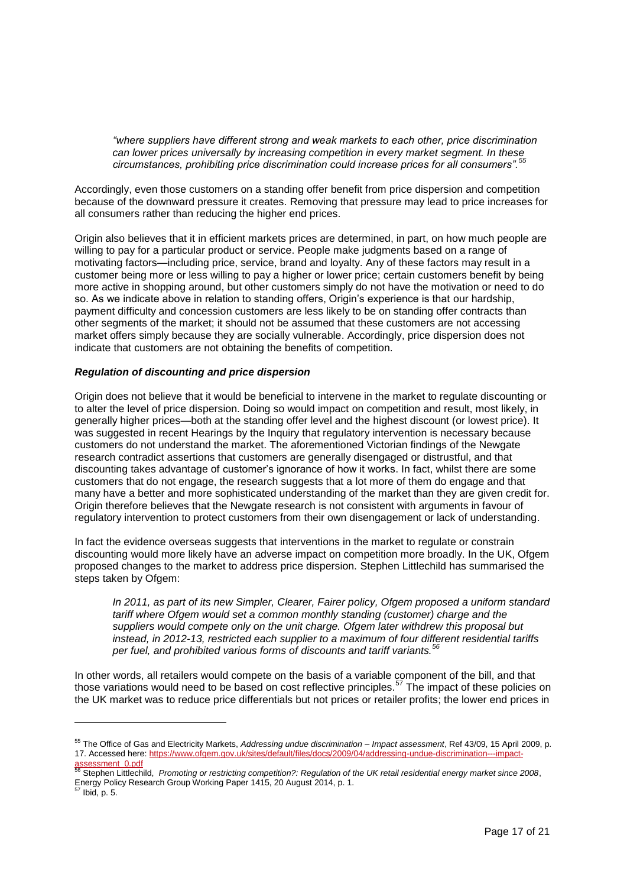*"where suppliers have different strong and weak markets to each other, price discrimination can lower prices universally by increasing competition in every market segment. In these circumstances, prohibiting price discrimination could increase prices for all consumers".<sup>55</sup>*

Accordingly, even those customers on a standing offer benefit from price dispersion and competition because of the downward pressure it creates. Removing that pressure may lead to price increases for all consumers rather than reducing the higher end prices.

Origin also believes that it in efficient markets prices are determined, in part, on how much people are willing to pay for a particular product or service. People make judgments based on a range of motivating factors—including price, service, brand and loyalty. Any of these factors may result in a customer being more or less willing to pay a higher or lower price; certain customers benefit by being more active in shopping around, but other customers simply do not have the motivation or need to do so. As we indicate above in relation to standing offers, Origin's experience is that our hardship, payment difficulty and concession customers are less likely to be on standing offer contracts than other segments of the market; it should not be assumed that these customers are not accessing market offers simply because they are socially vulnerable. Accordingly, price dispersion does not indicate that customers are not obtaining the benefits of competition.

### *Regulation of discounting and price dispersion*

l

Origin does not believe that it would be beneficial to intervene in the market to regulate discounting or to alter the level of price dispersion. Doing so would impact on competition and result, most likely, in generally higher prices—both at the standing offer level and the highest discount (or lowest price). It was suggested in recent Hearings by the Inquiry that regulatory intervention is necessary because customers do not understand the market. The aforementioned Victorian findings of the Newgate research contradict assertions that customers are generally disengaged or distrustful, and that discounting takes advantage of customer's ignorance of how it works. In fact, whilst there are some customers that do not engage, the research suggests that a lot more of them do engage and that many have a better and more sophisticated understanding of the market than they are given credit for. Origin therefore believes that the Newgate research is not consistent with arguments in favour of regulatory intervention to protect customers from their own disengagement or lack of understanding.

In fact the evidence overseas suggests that interventions in the market to regulate or constrain discounting would more likely have an adverse impact on competition more broadly. In the UK, Ofgem proposed changes to the market to address price dispersion. Stephen Littlechild has summarised the steps taken by Ofgem:

*In 2011, as part of its new Simpler, Clearer, Fairer policy, Ofgem proposed a uniform standard tariff where Ofgem would set a common monthly standing (customer) charge and the suppliers would compete only on the unit charge. Ofgem later withdrew this proposal but instead, in 2012-13, restricted each supplier to a maximum of four different residential tariffs per fuel, and prohibited various forms of discounts and tariff variants.<sup>56</sup>*

In other words, all retailers would compete on the basis of a variable component of the bill, and that those variations would need to be based on cost reflective principles.<sup>57</sup> The impact of these policies on the UK market was to reduce price differentials but not prices or retailer profits; the lower end prices in

<sup>55</sup> The Office of Gas and Electricity Markets, *Addressing undue discrimination – Impact assessment*, Ref 43/09, 15 April 2009, p. 17. Accessed here[: https://www.ofgem.gov.uk/sites/default/files/docs/2009/04/addressing-undue-discrimination---impact-](https://www.ofgem.gov.uk/sites/default/files/docs/2009/04/addressing-undue-discrimination---impact-assessment_0.pdf)

[assessment\\_0.pdf](https://www.ofgem.gov.uk/sites/default/files/docs/2009/04/addressing-undue-discrimination---impact-assessment_0.pdf)<br><sup>56</sup> Stephen Littlechild, *Promoting or restricting competition?: Regulation of the UK retail residential energy market since 2008*, Energy Policy Research Group Working Paper 1415, 20 August 2014, p. 1.  $\overline{5}$  Ibid, p. 5.

Page 17 of 21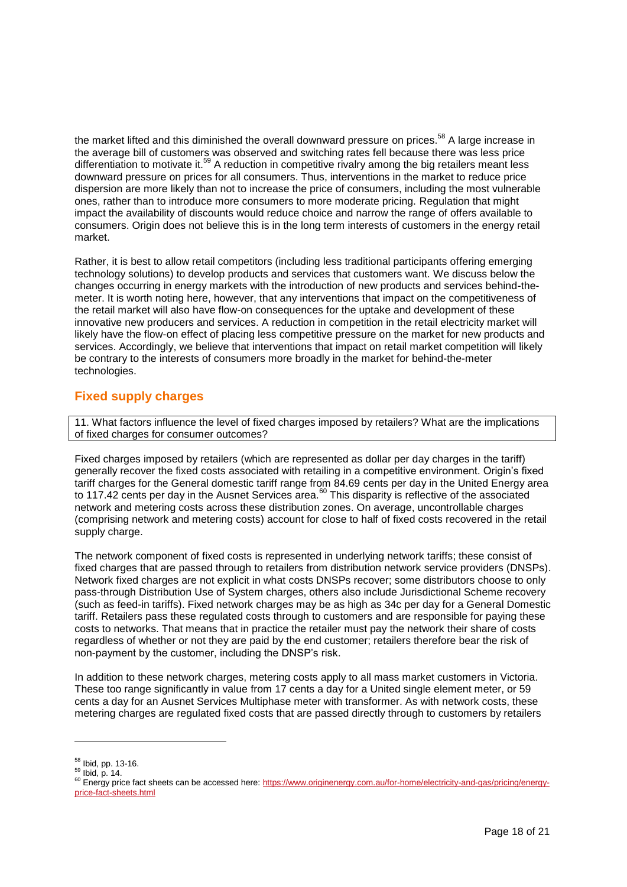the market lifted and this diminished the overall downward pressure on prices.<sup>58</sup> A large increase in the average bill of customers was observed and switching rates fell because there was less price differentiation to motivate it.<sup>59</sup> A reduction in competitive rivalry among the big retailers meant less downward pressure on prices for all consumers. Thus, interventions in the market to reduce price dispersion are more likely than not to increase the price of consumers, including the most vulnerable ones, rather than to introduce more consumers to more moderate pricing. Regulation that might impact the availability of discounts would reduce choice and narrow the range of offers available to consumers. Origin does not believe this is in the long term interests of customers in the energy retail market.

Rather, it is best to allow retail competitors (including less traditional participants offering emerging technology solutions) to develop products and services that customers want. We discuss below the changes occurring in energy markets with the introduction of new products and services behind-themeter. It is worth noting here, however, that any interventions that impact on the competitiveness of the retail market will also have flow-on consequences for the uptake and development of these innovative new producers and services. A reduction in competition in the retail electricity market will likely have the flow-on effect of placing less competitive pressure on the market for new products and services. Accordingly, we believe that interventions that impact on retail market competition will likely be contrary to the interests of consumers more broadly in the market for behind-the-meter technologies.

# **Fixed supply charges**

11. What factors influence the level of fixed charges imposed by retailers? What are the implications of fixed charges for consumer outcomes?

Fixed charges imposed by retailers (which are represented as dollar per day charges in the tariff) generally recover the fixed costs associated with retailing in a competitive environment. Origin's fixed tariff charges for the General domestic tariff range from 84.69 cents per day in the United Energy area to 117.42 cents per day in the Ausnet Services area.<sup>60</sup> This disparity is reflective of the associated network and metering costs across these distribution zones. On average, uncontrollable charges (comprising network and metering costs) account for close to half of fixed costs recovered in the retail supply charge.

The network component of fixed costs is represented in underlying network tariffs; these consist of fixed charges that are passed through to retailers from distribution network service providers (DNSPs). Network fixed charges are not explicit in what costs DNSPs recover; some distributors choose to only pass-through Distribution Use of System charges, others also include Jurisdictional Scheme recovery (such as feed-in tariffs). Fixed network charges may be as high as 34c per day for a General Domestic tariff. Retailers pass these regulated costs through to customers and are responsible for paying these costs to networks. That means that in practice the retailer must pay the network their share of costs regardless of whether or not they are paid by the end customer; retailers therefore bear the risk of non-payment by the customer, including the DNSP's risk.

In addition to these network charges, metering costs apply to all mass market customers in Victoria. These too range significantly in value from 17 cents a day for a United single element meter, or 59 cents a day for an Ausnet Services Multiphase meter with transformer. As with network costs, these metering charges are regulated fixed costs that are passed directly through to customers by retailers

<sup>58</sup> Ibid, pp. 13-16.

 $59$  Ibid, p. 14.

<sup>60</sup> Energy price fact sheets can be accessed here[: https://www.originenergy.com.au/for-home/electricity-and-gas/pricing/energy](https://www.originenergy.com.au/for-home/electricity-and-gas/pricing/energy-price-fact-sheets.html)[price-fact-sheets.html](https://www.originenergy.com.au/for-home/electricity-and-gas/pricing/energy-price-fact-sheets.html)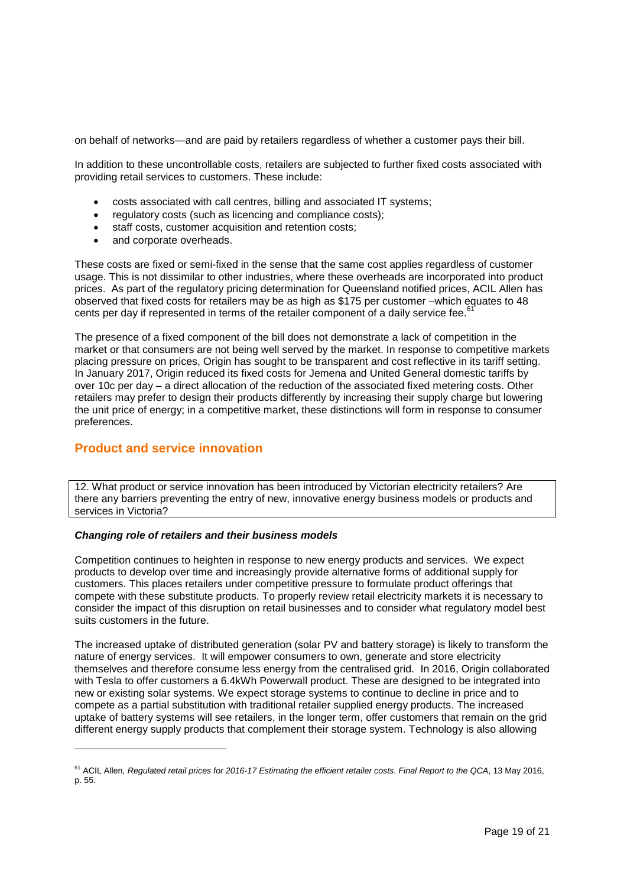on behalf of networks—and are paid by retailers regardless of whether a customer pays their bill.

In addition to these uncontrollable costs, retailers are subjected to further fixed costs associated with providing retail services to customers. These include:

- costs associated with call centres, billing and associated IT systems;
- regulatory costs (such as licencing and compliance costs);
- staff costs, customer acquisition and retention costs;
- and corporate overheads.

These costs are fixed or semi-fixed in the sense that the same cost applies regardless of customer usage. This is not dissimilar to other industries, where these overheads are incorporated into product prices. As part of the regulatory pricing determination for Queensland notified prices, ACIL Allen has observed that fixed costs for retailers may be as high as \$175 per customer –which equates to 48 cents per day if represented in terms of the retailer component of a daily service fee.<sup>61</sup>

The presence of a fixed component of the bill does not demonstrate a lack of competition in the market or that consumers are not being well served by the market. In response to competitive markets placing pressure on prices, Origin has sought to be transparent and cost reflective in its tariff setting. In January 2017, Origin reduced its fixed costs for Jemena and United General domestic tariffs by over 10c per day – a direct allocation of the reduction of the associated fixed metering costs. Other retailers may prefer to design their products differently by increasing their supply charge but lowering the unit price of energy; in a competitive market, these distinctions will form in response to consumer preferences.

# **Product and service innovation**

l

12. What product or service innovation has been introduced by Victorian electricity retailers? Are there any barriers preventing the entry of new, innovative energy business models or products and services in Victoria?

## *Changing role of retailers and their business models*

Competition continues to heighten in response to new energy products and services. We expect products to develop over time and increasingly provide alternative forms of additional supply for customers. This places retailers under competitive pressure to formulate product offerings that compete with these substitute products. To properly review retail electricity markets it is necessary to consider the impact of this disruption on retail businesses and to consider what regulatory model best suits customers in the future.

The increased uptake of distributed generation (solar PV and battery storage) is likely to transform the nature of energy services. It will empower consumers to own, generate and store electricity themselves and therefore consume less energy from the centralised grid. In 2016, Origin collaborated with Tesla to offer customers a 6.4kWh Powerwall product. These are designed to be integrated into new or existing solar systems. We expect storage systems to continue to decline in price and to compete as a partial substitution with traditional retailer supplied energy products. The increased uptake of battery systems will see retailers, in the longer term, offer customers that remain on the grid different energy supply products that complement their storage system. Technology is also allowing

<sup>61</sup> ACIL Allen*[, Regulated retail prices for 2016-17 Estimating the efficient retailer costs.](http://www.qca.org.au/getattachment/5591e73b-9dda-4780-9920-a30d6435d74b/ACIL-Allen-Regulated-retail-prices-for-2016-17-E.aspx) Final Report to the QCA*, 13 May 2016, p. 55.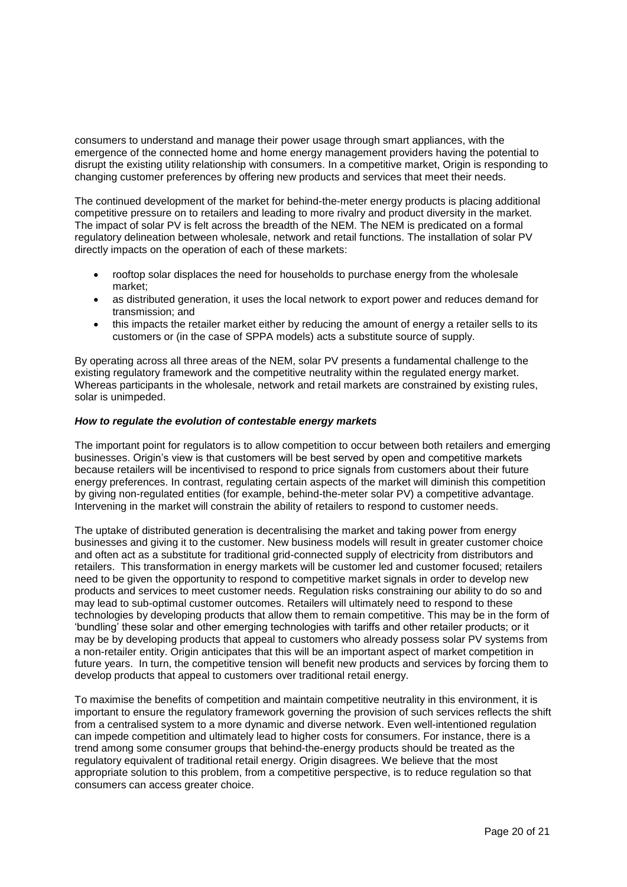consumers to understand and manage their power usage through smart appliances, with the emergence of the connected home and home energy management providers having the potential to disrupt the existing utility relationship with consumers. In a competitive market, Origin is responding to changing customer preferences by offering new products and services that meet their needs.

The continued development of the market for behind-the-meter energy products is placing additional competitive pressure on to retailers and leading to more rivalry and product diversity in the market. The impact of solar PV is felt across the breadth of the NEM. The NEM is predicated on a formal regulatory delineation between wholesale, network and retail functions. The installation of solar PV directly impacts on the operation of each of these markets:

- rooftop solar displaces the need for households to purchase energy from the wholesale market;
- as distributed generation, it uses the local network to export power and reduces demand for transmission; and
- this impacts the retailer market either by reducing the amount of energy a retailer sells to its customers or (in the case of SPPA models) acts a substitute source of supply.

By operating across all three areas of the NEM, solar PV presents a fundamental challenge to the existing regulatory framework and the competitive neutrality within the regulated energy market. Whereas participants in the wholesale, network and retail markets are constrained by existing rules, solar is unimpeded.

### *How to regulate the evolution of contestable energy markets*

The important point for regulators is to allow competition to occur between both retailers and emerging businesses. Origin's view is that customers will be best served by open and competitive markets because retailers will be incentivised to respond to price signals from customers about their future energy preferences. In contrast, regulating certain aspects of the market will diminish this competition by giving non-regulated entities (for example, behind-the-meter solar PV) a competitive advantage. Intervening in the market will constrain the ability of retailers to respond to customer needs.

The uptake of distributed generation is decentralising the market and taking power from energy businesses and giving it to the customer. New business models will result in greater customer choice and often act as a substitute for traditional grid-connected supply of electricity from distributors and retailers. This transformation in energy markets will be customer led and customer focused; retailers need to be given the opportunity to respond to competitive market signals in order to develop new products and services to meet customer needs. Regulation risks constraining our ability to do so and may lead to sub-optimal customer outcomes. Retailers will ultimately need to respond to these technologies by developing products that allow them to remain competitive. This may be in the form of 'bundling' these solar and other emerging technologies with tariffs and other retailer products; or it may be by developing products that appeal to customers who already possess solar PV systems from a non-retailer entity. Origin anticipates that this will be an important aspect of market competition in future years. In turn, the competitive tension will benefit new products and services by forcing them to develop products that appeal to customers over traditional retail energy.

To maximise the benefits of competition and maintain competitive neutrality in this environment, it is important to ensure the regulatory framework governing the provision of such services reflects the shift from a centralised system to a more dynamic and diverse network. Even well-intentioned regulation can impede competition and ultimately lead to higher costs for consumers. For instance, there is a trend among some consumer groups that behind-the-energy products should be treated as the regulatory equivalent of traditional retail energy. Origin disagrees. We believe that the most appropriate solution to this problem, from a competitive perspective, is to reduce regulation so that consumers can access greater choice.